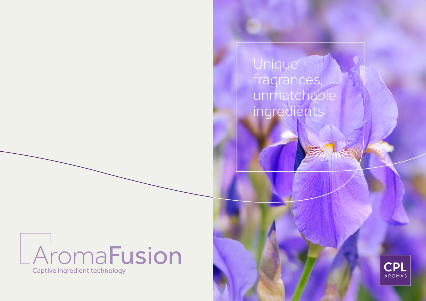**Unique** fragrances, unmatchable ingredients